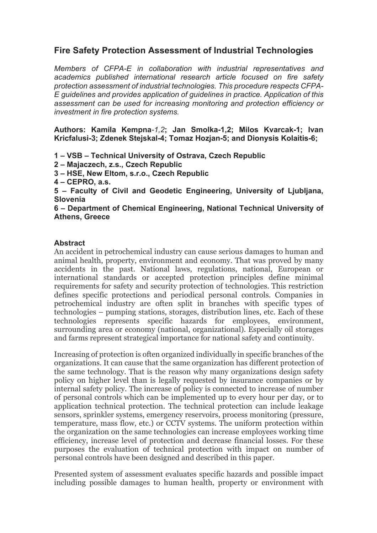## **Fire Safety Protection Assessment of Industrial Technologies**

*Members of CFPA-E in collaboration with industrial representatives and academics published international research article focused on fire safety protection assessment of industrial technologies. This procedure respects CFPA-E guidelines and provides application of guidelines in practice. Application of this assessment can be used for increasing monitoring and protection efficiency or investment in fire protection systems.* 

**Authors: Kamila Kempna***-1,2***; Jan Smolka-1,2; Milos Kvarcak-1; Ivan Kricfalusi-3; Zdenek Stejskal-4; Tomaz Hozjan-5; and Dionysis Kolaitis-6;**

**1 – VSB – Technical University of Ostrava, Czech Republic**

**2 – Majaczech, z.s., Czech Republic**

**3 – HSE, New Eltom, s.r.o., Czech Republic**

**4 – CEPRO, a.s.**

**5 – Faculty of Civil and Geodetic Engineering, University of Ljubljana, Slovenia**

**6 – Department of Chemical Engineering, National Technical University of Athens, Greece**

## **Abstract**

An accident in petrochemical industry can cause serious damages to human and animal health, property, environment and economy. That was proved by many accidents in the past. National laws, regulations, national, European or international standards or accepted protection principles define minimal requirements for safety and security protection of technologies. This restriction defines specific protections and periodical personal controls. Companies in petrochemical industry are often split in branches with specific types of technologies – pumping stations, storages, distribution lines, etc. Each of these technologies represents specific hazards for employees, environment, surrounding area or economy (national, organizational). Especially oil storages and farms represent strategical importance for national safety and continuity.

Increasing of protection is often organized individually in specific branches of the organizations. It can cause that the same organization has different protection of the same technology. That is the reason why many organizations design safety policy on higher level than is legally requested by insurance companies or by internal safety policy. The increase of policy is connected to increase of number of personal controls which can be implemented up to every hour per day, or to application technical protection. The technical protection can include leakage sensors, sprinkler systems, emergency reservoirs, process monitoring (pressure, temperature, mass flow, etc.) or CCTV systems. The uniform protection within the organization on the same technologies can increase employees working time efficiency, increase level of protection and decrease financial losses. For these purposes the evaluation of technical protection with impact on number of personal controls have been designed and described in this paper.

Presented system of assessment evaluates specific hazards and possible impact including possible damages to human health, property or environment with